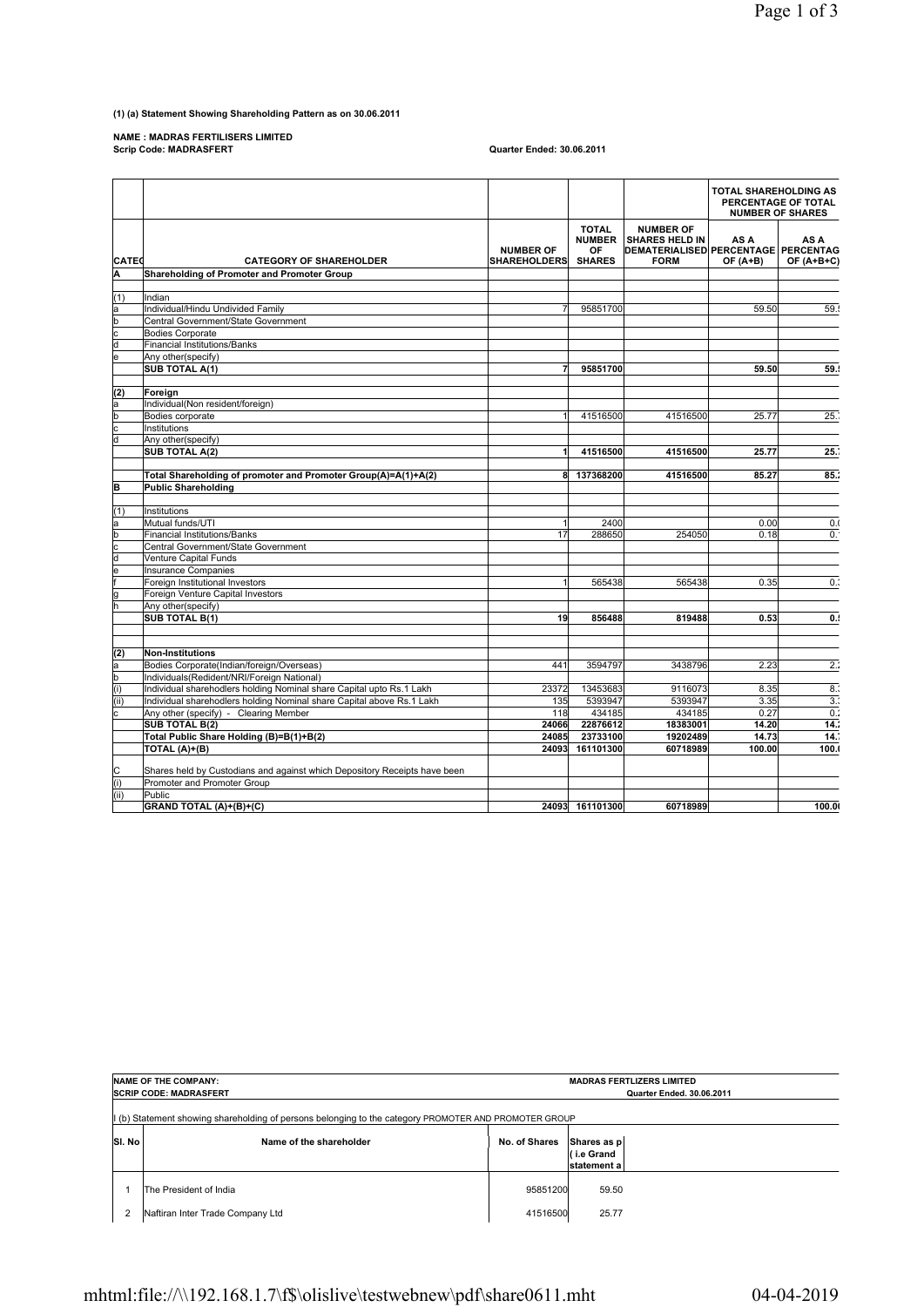## **(1) (a) Statement Showing Shareholding Pattern as on 30.06.2011**

**NAME : MADRAS FERTILISERS LIMITED Scrip Code: MADRASFERT Quarter Ended: 30.06.2011**

|                         |                                                                           |                                   |                                                      |                                                                                                        | <b>TOTAL SHAREHOLDING AS</b> | PERCENTAGE OF TOTAL<br><b>NUMBER OF SHARES</b> |
|-------------------------|---------------------------------------------------------------------------|-----------------------------------|------------------------------------------------------|--------------------------------------------------------------------------------------------------------|------------------------------|------------------------------------------------|
| <b>CATEd</b>            | <b>CATEGORY OF SHAREHOLDER</b>                                            | <b>NUMBER OF</b><br>SHAREHOLDERSİ | <b>TOTAL</b><br><b>NUMBER</b><br>OF<br><b>SHARES</b> | <b>NUMBER OF</b><br><b>SHARES HELD IN</b><br><b>DEMATERIALISED PERCENTAGE PERCENTAG</b><br><b>FORM</b> | AS A<br>$OF(A+B)$            | AS A<br>$OF(A+B+C)$                            |
| ΙA                      | Shareholding of Promoter and Promoter Group                               |                                   |                                                      |                                                                                                        |                              |                                                |
|                         |                                                                           |                                   |                                                      |                                                                                                        |                              |                                                |
| (1)                     | Indian                                                                    |                                   |                                                      |                                                                                                        |                              |                                                |
| a                       | Individual/Hindu Undivided Family                                         | $\overline{7}$                    | 95851700                                             |                                                                                                        | 59.50                        | 59.                                            |
| b                       | Central Government/State Government                                       |                                   |                                                      |                                                                                                        |                              |                                                |
| c                       | <b>Bodies Corporate</b>                                                   |                                   |                                                      |                                                                                                        |                              |                                                |
| d                       | Financial Institutions/Banks                                              |                                   |                                                      |                                                                                                        |                              |                                                |
| le                      | Any other(specify)                                                        |                                   |                                                      |                                                                                                        |                              |                                                |
|                         | <b>SUB TOTAL A(1)</b>                                                     | 7                                 | 95851700                                             |                                                                                                        | 59.50                        | 59.5                                           |
|                         |                                                                           |                                   |                                                      |                                                                                                        |                              |                                                |
| (2)                     | Foreign                                                                   |                                   |                                                      |                                                                                                        |                              |                                                |
| a                       | Individual(Non resident/foreign)                                          |                                   |                                                      |                                                                                                        |                              |                                                |
| b                       | Bodies corporate                                                          |                                   | 41516500                                             | 41516500                                                                                               | 25.77                        | 25.                                            |
| c                       | Institutions                                                              |                                   |                                                      |                                                                                                        |                              |                                                |
| a                       | Any other(specify)                                                        |                                   |                                                      |                                                                                                        |                              |                                                |
|                         | <b>SUB TOTAL A(2)</b>                                                     | 1                                 | 41516500                                             | 41516500                                                                                               | 25.77                        | 25.                                            |
|                         |                                                                           |                                   |                                                      |                                                                                                        |                              |                                                |
|                         | Total Shareholding of promoter and Promoter Group(A)=A(1)+A(2)            | 81                                | 137368200                                            | 41516500                                                                                               | 85.27                        | 85.7                                           |
| B                       | <b>Public Shareholding</b>                                                |                                   |                                                      |                                                                                                        |                              |                                                |
|                         |                                                                           |                                   |                                                      |                                                                                                        |                              |                                                |
| (1)                     | Institutions                                                              |                                   |                                                      |                                                                                                        |                              |                                                |
| a                       | Mutual funds/UTI                                                          | $\overline{1}$                    | 2400                                                 |                                                                                                        | 0.00                         | 0.0                                            |
| þ                       | Financial Institutions/Banks                                              | 17                                | 288650                                               | 254050                                                                                                 | 0.18                         | 0.                                             |
| $\overline{\mathbf{c}}$ | Central Government/State Government                                       |                                   |                                                      |                                                                                                        |                              |                                                |
| d                       | Venture Capital Funds                                                     |                                   |                                                      |                                                                                                        |                              |                                                |
| le                      | Insurance Companies                                                       |                                   |                                                      |                                                                                                        |                              |                                                |
|                         | Foreign Institutional Investors                                           | $\mathbf{1}$                      | 565438                                               | 565438                                                                                                 | 0.35                         | $0$ .                                          |
|                         | Foreign Venture Capital Investors                                         |                                   |                                                      |                                                                                                        |                              |                                                |
| lg<br>h                 | Any other(specify)                                                        |                                   |                                                      |                                                                                                        |                              |                                                |
|                         | <b>SUB TOTAL B(1)</b>                                                     | 19                                | 856488                                               | 819488                                                                                                 | 0.53                         | 0.5                                            |
|                         |                                                                           |                                   |                                                      |                                                                                                        |                              |                                                |
|                         |                                                                           |                                   |                                                      |                                                                                                        |                              |                                                |
| (2)                     | Non-Institutions                                                          |                                   |                                                      |                                                                                                        |                              |                                                |
| a                       | Bodies Corporate(Indian/foreign/Overseas)                                 | 441                               | 3594797                                              | 3438796                                                                                                | 2.23                         | $\overline{2}$ :                               |
| b                       | Individuals(Redident/NRI/Foreign National)                                |                                   |                                                      |                                                                                                        |                              |                                                |
| (i)                     | Individual sharehodlers holding Nominal share Capital upto Rs.1 Lakh      | 23372                             | 13453683                                             | 9116073                                                                                                | 8.35                         | 8.3                                            |
| (i)                     | Individual sharehodlers holding Nominal share Capital above Rs.1 Lakh     | <b>135</b>                        | 5393947                                              | 5393947                                                                                                | 3.35                         | $\overline{3}$ .                               |
| c                       | Any other (specify) - Clearing Member                                     | <b>118</b>                        | 434185                                               | 434185                                                                                                 | 0.27                         | $\overline{0}$                                 |
|                         | <b>SUB TOTAL B(2)</b>                                                     | 24066                             | 22876612                                             | 18383001                                                                                               | 14.20                        | 14.2                                           |
|                         |                                                                           | 24085                             |                                                      | 19202489                                                                                               | 14.73                        | 14.                                            |
|                         | Total Public Share Holding (B)=B(1)+B(2)                                  | 24093                             | 23733100<br>161101300                                | 60718989                                                                                               | 100.00                       | 100.0                                          |
|                         | TOTAL (A)+(B)                                                             |                                   |                                                      |                                                                                                        |                              |                                                |
|                         | Shares held by Custodians and against which Depository Receipts have been |                                   |                                                      |                                                                                                        |                              |                                                |
| C<br>(i)                | Promoter and Promoter Group                                               |                                   |                                                      |                                                                                                        |                              |                                                |
| (iii)                   | Public                                                                    |                                   |                                                      |                                                                                                        |                              |                                                |
|                         | GRAND TOTAL (A)+(B)+(C)                                                   |                                   | 24093 161101300                                      | 60718989                                                                                               |                              | 100.0                                          |
|                         |                                                                           |                                   |                                                      |                                                                                                        |                              |                                                |

|                                                                                                     | <b>NAME OF THE COMPANY:</b><br><b>SCRIP CODE: MADRASFERT</b> | <b>MADRAS FERTLIZERS LIMITED</b><br><b>Quarter Ended, 30.06.2011</b> |                                          |  |
|-----------------------------------------------------------------------------------------------------|--------------------------------------------------------------|----------------------------------------------------------------------|------------------------------------------|--|
| (b) Statement showing shareholding of persons belonging to the category PROMOTER AND PROMOTER GROUP |                                                              |                                                                      |                                          |  |
| SI. No                                                                                              | Name of the shareholder                                      | No. of Shares                                                        | Shares as p<br>(i.e Grand<br>statement a |  |
|                                                                                                     | The President of India                                       | 95851200                                                             | 59.50                                    |  |
| 2                                                                                                   | Naftiran Inter Trade Company Ltd                             | 41516500                                                             | 25.77                                    |  |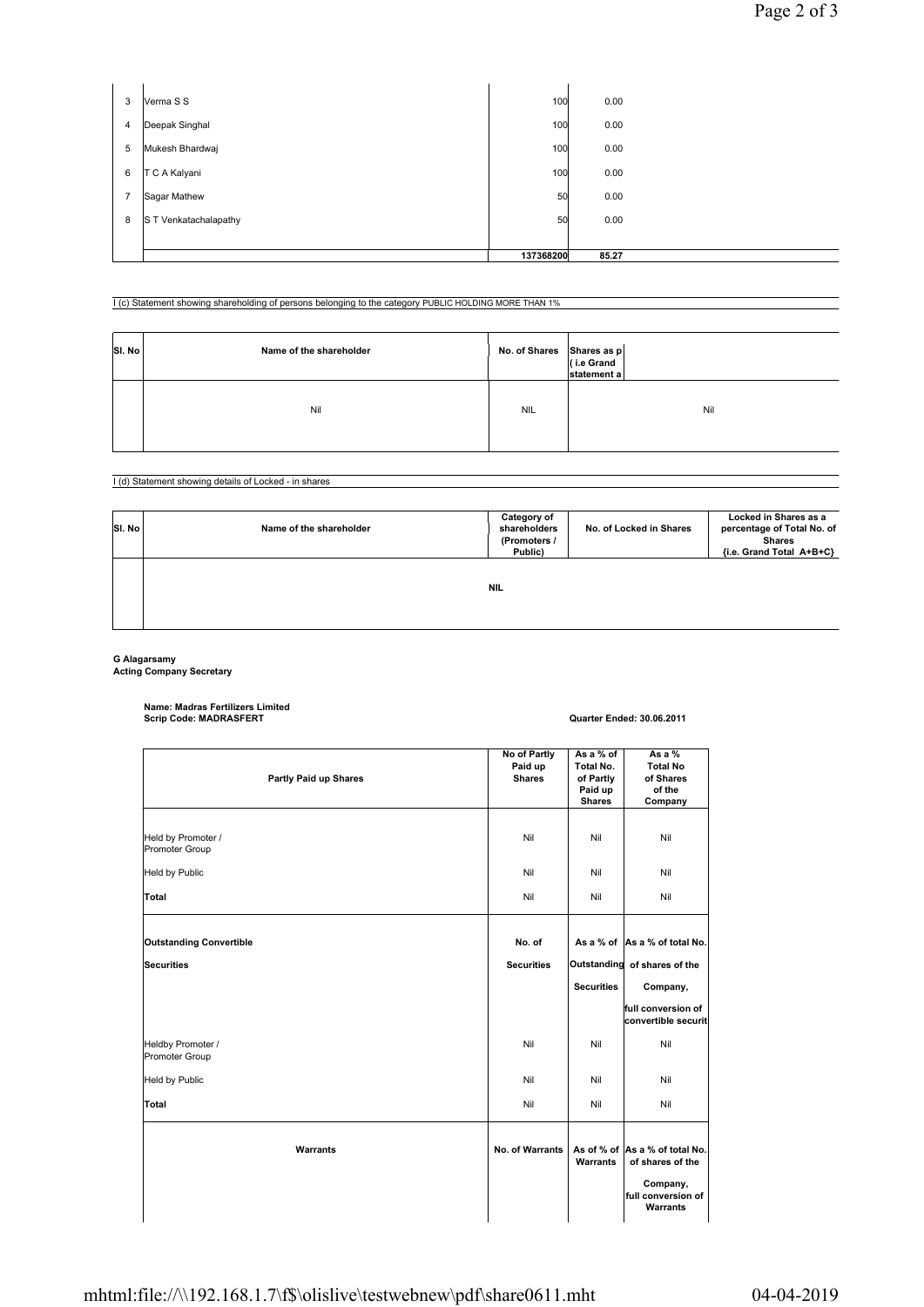| 3              | Verma S S             | 100       | 0.00  |  |
|----------------|-----------------------|-----------|-------|--|
| 4              | Deepak Singhal        | 100       | 0.00  |  |
| 5              | Mukesh Bhardwaj       | 100       | 0.00  |  |
| 6              | T C A Kalyani         | 100       | 0.00  |  |
| $\overline{7}$ | Sagar Mathew          | 50        | 0.00  |  |
| 8              | S T Venkatachalapathy | 50        | 0.00  |  |
|                |                       |           |       |  |
|                |                       | 137368200 | 85.27 |  |

I (c) Statement showing shareholding of persons belonging to the category PUBLIC HOLDING MORE THAN 1%

| SI. No | Name of the shareholder | No. of Shares Shares as $p \mid$<br>(i.e Grand | statement a |
|--------|-------------------------|------------------------------------------------|-------------|
|        | Nil                     | <b>NIL</b>                                     | Nil         |

I (d) Statement showing details of Locked - in shares

| SI. No | Name of the shareholder | Category of<br>shareholders<br>(Promoters /<br>Public) | No. of Locked in Shares | Locked in Shares as a<br>percentage of Total No. of<br><b>Shares</b><br>{i.e. Grand Total A+B+C} |
|--------|-------------------------|--------------------------------------------------------|-------------------------|--------------------------------------------------------------------------------------------------|
|        |                         |                                                        |                         |                                                                                                  |

**NIL**

**G Alagarsamy Acting Company Secretary**

**Name: Madras Fertilizers Limited Scrip Code: MADRASFERT Quarter Ended: 30.06.2011**

| Partly Paid up Shares                | No of Partly<br>Paid up<br><b>Shares</b> | As a % of<br>Total No.<br>of Partly<br>Paid up<br><b>Shares</b> | As a %<br><b>Total No</b><br>of Shares<br>of the<br>Company                                      |
|--------------------------------------|------------------------------------------|-----------------------------------------------------------------|--------------------------------------------------------------------------------------------------|
| Held by Promoter /<br>Promoter Group | Nil                                      | Nil                                                             | Nil                                                                                              |
| <b>Held by Public</b>                | Nil                                      | Nil                                                             | Nil                                                                                              |
| Total                                | Nil                                      | Nil                                                             | Nil                                                                                              |
| <b>Outstanding Convertible</b>       | No. of                                   |                                                                 | As a % of As a % of total No.                                                                    |
| Securities                           | <b>Securities</b>                        |                                                                 | Outstanding of shares of the                                                                     |
|                                      |                                          | <b>Securities</b>                                               | Company,                                                                                         |
|                                      |                                          |                                                                 | full conversion of<br>convertible securit                                                        |
| Heldby Promoter /<br>Promoter Group  | Nil                                      | Nil                                                             | Nil                                                                                              |
| <b>Held by Public</b>                | Nil                                      | Nil                                                             | Nil                                                                                              |
| Total                                | Nil                                      | Nil                                                             | Nil                                                                                              |
| Warrants                             | <b>No. of Warrants</b>                   | Warrants                                                        | As of % of As a % of total No.<br>of shares of the<br>Company,<br>full conversion of<br>Warrants |
|                                      |                                          |                                                                 |                                                                                                  |

## mhtml:file://\\192.168.1.7\f\$\olislive\testwebnew\pdf\share0611.mht 04-04-2019